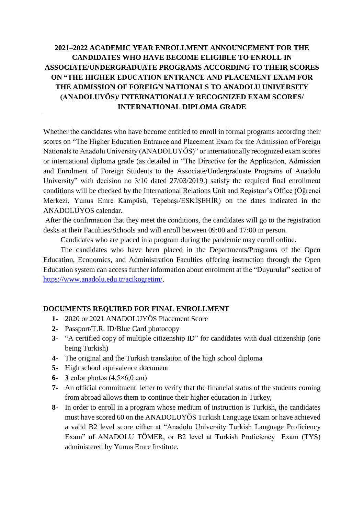## **2021‒2022 ACADEMIC YEAR ENROLLMENT ANNOUNCEMENT FOR THE CANDIDATES WHO HAVE BECOME ELIGIBLE TO ENROLL IN ASSOCIATE/UNDERGRADUATE PROGRAMS ACCORDING TO THEIR SCORES ON "THE HIGHER EDUCATION ENTRANCE AND PLACEMENT EXAM FOR THE ADMISSION OF FOREIGN NATIONALS TO ANADOLU UNIVERSITY (ANADOLUYÖS)/ INTERNATIONALLY RECOGNIZED EXAM SCORES/ INTERNATIONAL DIPLOMA GRADE**

Whether the candidates who have become entitled to enroll in formal programs according their scores on "The Higher Education Entrance and Placement Exam for the Admission of Foreign Nationals to Anadolu University (ANADOLUYÖS)" or internationally recognized exam scores or international diploma grade (as detailed in "The Directive for the Application, Admission and Enrolment of Foreign Students to the Associate/Undergraduate Programs of Anadolu University" with decision no 3/10 dated 27/03/2019.) satisfy the required final enrollment conditions will be checked by the International Relations Unit and Registrar's Office (Öğrenci Merkezi, Yunus Emre Kampüsü, Tepebaşı/ESKİŞEHİR) on the dates indicated in the ANADOLUYOS calendar**.**

After the confirmation that they meet the conditions, the candidates will go to the registration desks at their Faculties/Schools and will enroll between 09:00 and 17:00 in person.

Candidates who are placed in a program during the pandemic may enroll online.

The candidates who have been placed in the Departments/Programs of the Open Education, Economics, and Administration Faculties offering instruction through the Open Education system can access further information about enrolment at the "Duyurular" section of [https://www.anadolu.edu.tr/acikogretim/.](https://www.anadolu.edu.tr/acikogretim/)

## **DOCUMENTS REQUIRED FOR FINAL ENROLLMENT**

- **1-** 2020 or 2021 ANADOLUYÖS Placement Score
- **2-** Passport/T.R. ID/Blue Card photocopy
- **3-** "A certified copy of multiple citizenship ID" for candidates with dual citizenship (one being Turkish)
- **4-** The original and the Turkish translation of the high school diploma
- **5-** High school equivalence document
- **6-** 3 color photos (4,5×6,0 cm)
- **7-** An official commitment letter to verify that the financial status of the students coming from abroad allows them to continue their higher education in Turkey,
- **8-** In order to enroll in a program whose medium of instruction is Turkish, the candidates must have scored 60 on the ANADOLUYÖS Turkish Language Exam or have achieved a valid B2 level score either at "Anadolu University Turkish Language Proficiency Exam" of ANADOLU TÖMER, or B2 level at Turkish Proficiency Exam (TYS) administered by Yunus Emre Institute.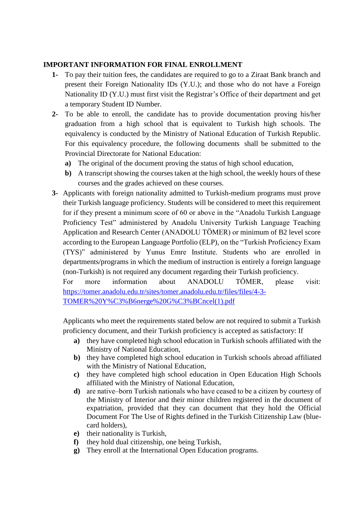## **IMPORTANT INFORMATION FOR FINAL ENROLLMENT**

- **1-** To pay their tuition fees, the candidates are required to go to a Ziraat Bank branch and present their Foreign Nationality IDs (Y.U.); and those who do not have a Foreign Nationality ID (Y.U.) must first visit the Registrar's Office of their department and get a temporary Student ID Number.
- **2-** To be able to enroll, the candidate has to provide documentation proving his/her graduation from a high school that is equivalent to Turkish high schools. The equivalency is conducted by the Ministry of National Education of Turkish Republic. For this equivalency procedure, the following documents shall be submitted to the Provincial Directorate for National Education:
	- **a)** The original of the document proving the status of high school education,
	- **b)** A transcript showing the courses taken at the high school, the weekly hours of these courses and the grades achieved on these courses.
- **3-** Applicants with foreign nationality admitted to Turkish-medium programs must prove their Turkish language proficiency. Students will be considered to meet this requirement for if they present a minimum score of 60 or above in the "Anadolu Turkish Language Proficiency Test" administered by Anadolu University Turkish Language Teaching Application and Research Center (ANADOLU TÖMER) or minimum of B2 level score according to the European Language Portfolio (ELP), on the "Turkish Proficiency Exam (TYS)" administered by Yunus Emre Institute. Students who are enrolled in departments/programs in which the medium of instruction is entirely a foreign language (non-Turkish) is not required any document regarding their Turkish proficiency.

For more information about ANADOLU TÖMER, please visit: [https://tomer.anadolu.edu.tr/sites/tomer.anadolu.edu.tr/files/files/4-3-](https://tomer.anadolu.edu.tr/sites/tomer.anadolu.edu.tr/files/files/4-3-TOMER%20Y%C3%B6nerge%20G%C3%BCncel(1).pdf) [TOMER%20Y%C3%B6nerge%20G%C3%BCncel\(1\).pdf](https://tomer.anadolu.edu.tr/sites/tomer.anadolu.edu.tr/files/files/4-3-TOMER%20Y%C3%B6nerge%20G%C3%BCncel(1).pdf)

Applicants who meet the requirements stated below are not required to submit a Turkish proficiency document, and their Turkish proficiency is accepted as satisfactory: If

- **a)** they have completed high school education in Turkish schools affiliated with the Ministry of National Education,
- **b)** they have completed high school education in Turkish schools abroad affiliated with the Ministry of National Education,
- **c)** they have completed high school education in Open Education High Schools affiliated with the Ministry of National Education,
- **d**) are native-born Turkish nationals who have ceased to be a citizen by courtesy of the Ministry of Interior and their minor children registered in the document of expatriation, provided that they can document that they hold the Official Document For The Use of Rights defined in the Turkish Citizenship Law (bluecard holders),
- **e)** their nationality is Turkish,
- **f)** they hold dual citizenship, one being Turkish,
- **g)** They enroll at the International Open Education programs.